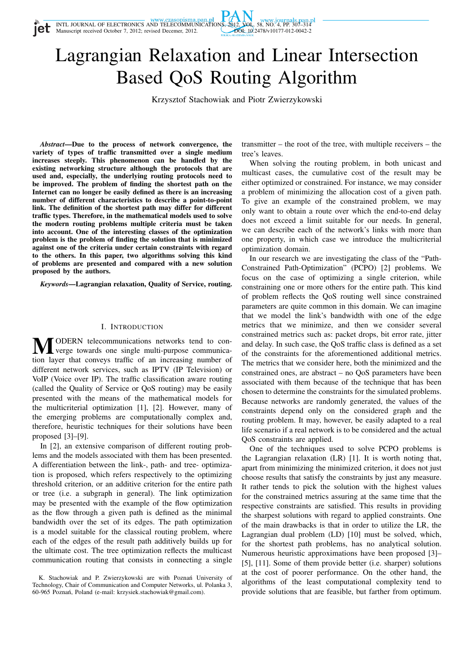

# Lagrangian Relaxation and Linear Intersection Based QoS Routing Algorithm

Krzysztof Stachowiak and Piotr Zwierzykowski

*Abstract*—Due to the process of network convergence, the variety of types of traffic transmitted over a single medium increases steeply. This phenomenon can be handled by the existing networking structure although the protocols that are used and, especially, the underlying routing protocols need to be improved. The problem of finding the shortest path on the Internet can no longer be easily defined as there is an increasing number of different characteristics to describe a point-to-point link. The definition of the shortest path may differ for different traffic types. Therefore, in the mathematical models used to solve the modern routing problems multiple criteria must be taken into account. One of the interesting classes of the optimization problem is the problem of finding the solution that is minimized against one of the criteria under certain constraints with regard to the others. In this paper, two algorithms solving this kind of problems are presented and compared with a new solution proposed by the authors.

*Keywords*—Lagrangian relaxation, Quality of Service, routing.

## I. INTRODUCTION

**M** ODERN telecommunications networks tend to con-<br>verge towards one single multi-purpose communica-<br>tion have that convey to fixed and increasing number of tion layer that conveys traffic of an increasing number of different network services, such as IPTV (IP Television) or VoIP (Voice over IP). The traffic classification aware routing (called the Quality of Service or QoS routing) may be easily presented with the means of the mathematical models for the multicriterial optimization [1], [2]. However, many of the emerging problems are computationally complex and, therefore, heuristic techniques for their solutions have been proposed [3]–[9].

In [2], an extensive comparison of different routing problems and the models associated with them has been presented. A differentiation between the link-, path- and tree- optimization is proposed, which refers respectively to the optimizing threshold criterion, or an additive criterion for the entire path or tree (i.e. a subgraph in general). The link optimization may be presented with the example of the flow optimization as the flow through a given path is defined as the minimal bandwidth over the set of its edges. The path optimization is a model suitable for the classical routing problem, where each of the edges of the result path additively builds up for the ultimate cost. The tree optimization reflects the multicast communication routing that consists in connecting a single transmitter – the root of the tree, with multiple receivers – the tree's leaves.

When solving the routing problem, in both unicast and multicast cases, the cumulative cost of the result may be either optimized or constrained. For instance, we may consider a problem of minimizing the allocation cost of a given path. To give an example of the constrained problem, we may only want to obtain a route over which the end-to-end delay does not exceed a limit suitable for our needs. In general, we can describe each of the network's links with more than one property, in which case we introduce the multicriterial optimization domain.

In our research we are investigating the class of the "Path-Constrained Path-Optimization" (PCPO) [2] problems. We focus on the case of optimizing a single criterion, while constraining one or more others for the entire path. This kind of problem reflects the QoS routing well since constrained parameters are quite common in this domain. We can imagine that we model the link's bandwidth with one of the edge metrics that we minimize, and then we consider several constrained metrics such as: packet drops, bit error rate, jitter and delay. In such case, the QoS traffic class is defined as a set of the constraints for the aforementioned additional metrics. The metrics that we consider here, both the minimized and the constrained ones, are abstract – no QoS parameters have been associated with them because of the technique that has been chosen to determine the constraints for the simulated problems. Because networks are randomly generated, the values of the constraints depend only on the considered graph and the routing problem. It may, however, be easily adapted to a real life scenario if a real network is to be considered and the actual QoS constraints are applied.

One of the techniques used to solve PCPO problems is the Lagrangian relaxation (LR) [1]. It is worth noting that, apart from minimizing the minimized criterion, it does not just choose results that satisfy the constraints by just any measure. It rather tends to pick the solution with the highest values for the constrained metrics assuring at the same time that the respective constraints are satisfied. This results in providing the sharpest solutions with regard to applied constraints. One of the main drawbacks is that in order to utilize the LR, the Lagrangian dual problem (LD) [10] must be solved, which, for the shortest path problems, has no analytical solution. Numerous heuristic approximations have been proposed [3]– [5], [11]. Some of them provide better (i.e. sharper) solutions at the cost of poorer performance. On the other hand, the algorithms of the least computational complexity tend to provide solutions that are feasible, but farther from optimum.

K. Stachowiak and P. Zwierzykowski are with Poznań University of Technology, Chair of Communication and Computer Networks, ul. Polanka 3, 60-965 Poznan, Poland (e-mail: krzysiek.stachowiak@gmail.com). ´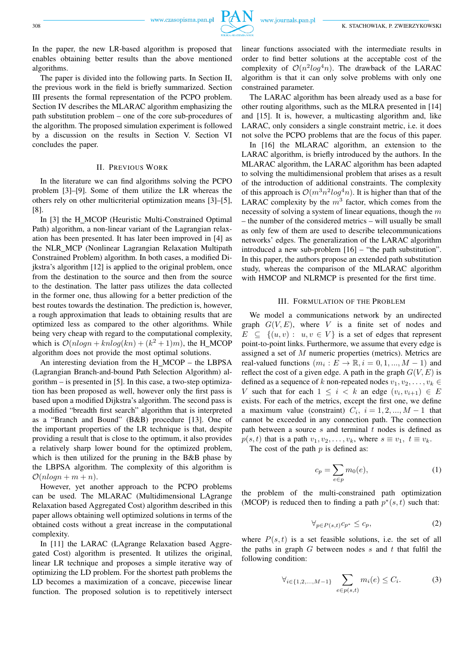In the paper, the new LR-based algorithm is proposed that enables obtaining better results than the above mentioned algorithms.

The paper is divided into the following parts. In Section II, the previous work in the field is briefly summarized. Section III presents the formal representation of the PCPO problem. Section IV describes the MLARAC algorithm emphasizing the path substitution problem – one of the core sub-procedures of the algorithm. The proposed simulation experiment is followed by a discussion on the results in Section V. Section VI concludes the paper.

#### II. PREVIOUS WORK

In the literature we can find algorithms solving the PCPO problem [3]–[9]. Some of them utilize the LR whereas the others rely on other multicriterial optimization means [3]–[5], [8].

In [3] the H MCOP (Heuristic Multi-Constrained Optimal Path) algorithm, a non-linear variant of the Lagrangian relaxation has been presented. It has later been improved in [4] as the NLR MCP (Nonlinear Lagrangian Relaxation Multipath Constrained Problem) algorithm. In both cases, a modified Dijkstra's algorithm [12] is applied to the original problem, once from the destination to the source and then from the source to the destination. The latter pass utilizes the data collected in the former one, thus allowing for a better prediction of the best routes towards the destination. The prediction is, however, a rough approximation that leads to obtaining results that are optimized less as compared to the other algorithms. While being very cheap with regard to the computational complexity, which is  $\mathcal{O}(n \log n + kn \log(kn) + (k^2 + 1)m)$ , the H\_MCOP algorithm does not provide the most optimal solutions.

An interesting deviation from the H MCOP – the LBPSA (Lagrangian Branch-and-bound Path Selection Algorithm) algorithm – is presented in [5]. In this case, a two-step optimization has been proposed as well, however only the first pass is based upon a modified Dijkstra's algorithm. The second pass is a modified "breadth first search" algorithm that is interpreted as a "Branch and Bound" (B&B) procedure [13]. One of the important properties of the LR technique is that, despite providing a result that is close to the optimum, it also provides a relatively sharp lower bound for the optimized problem, which is then utilized for the pruning in the B&B phase by the LBPSA algorithm. The complexity of this algorithm is  $\mathcal{O}(nlogn + m + n).$ 

However, yet another approach to the PCPO problems can be used. The MLARAC (Multidimensional LAgrange Relaxation based Aggregated Cost) algorithm described in this paper allows obtaining well optimized solutions in terms of the obtained costs without a great increase in the computational complexity.

In [11] the LARAC (LAgrange Relaxation based Aggregated Cost) algorithm is presented. It utilizes the original, linear LR technique and proposes a simple iterative way of optimizing the LD problem. For the shortest path problems the LD becomes a maximization of a concave, piecewise linear function. The proposed solution is to repetitively intersect linear functions associated with the intermediate results in order to find better solutions at the acceptable cost of the complexity of  $O(n^2 \log^4 n)$ . The drawback of the LARAC algorithm is that it can only solve problems with only one constrained parameter.

The LARAC algorithm has been already used as a base for other routing algorithms, such as the MLRA presented in [14] and [15]. It is, however, a multicasting algorithm and, like LARAC, only considers a single constraint metric, i.e. it does not solve the PCPO problems that are the focus of this paper.

In [16] the MLARAC algorithm, an extension to the LARAC algorithm, is briefly introduced by the authors. In the MLARAC algorithm, the LARAC algorithm has been adapted to solving the multidimensional problem that arises as a result of the introduction of additional constraints. The complexity of this approach is  $\mathcal{O}(m^3n^2log^4n)$ . It is higher than that of the LARAC complexity by the  $m<sup>3</sup>$  factor, which comes from the necessity of solving a system of linear equations, though the  $m$ – the number of the considered metrics – will usually be small as only few of them are used to describe telecommunications networks' edges. The generalization of the LARAC algorithm introduced a new sub-problem [16] – "the path substitution". In this paper, the authors propose an extended path substitution study, whereas the comparison of the MLARAC algorithm with HMCOP and NLRMCP is presented for the first time.

#### III. FORMULATION OF THE PROBLEM

We model a communications network by an undirected graph  $G(V, E)$ , where V is a finite set of nodes and  $E \subseteq \{(u, v) : u, v \in V\}$  is a set of edges that represent point-to-point links. Furthermore, we assume that every edge is assigned a set of M numeric properties (metrics). Metrics are real-valued functions  $(m_i : E \to \mathbb{R}, i = 0, 1, ..., M - 1)$  and reflect the cost of a given edge. A path in the graph  $G(V, E)$  is defined as a sequence of k non-repeated nodes  $v_1, v_2, \ldots, v_k \in$ V such that for each  $1 \leq i \leq k$  an edge  $(v_i, v_{i+1}) \in E$ exists. For each of the metrics, except the first one, we define a maximum value (constraint)  $C_i$ ,  $i = 1, 2, ..., M - 1$  that cannot be exceeded in any connection path. The connection path between a source  $s$  and terminal  $t$  nodes is defined as  $p(s, t)$  that is a path  $v_1, v_2, \ldots, v_k$ , where  $s \equiv v_1, t \equiv v_k$ .

The cost of the path  $p$  is defined as:

$$
c_p = \sum_{e \in p} m_0(e),\tag{1}
$$

the problem of the multi-constrained path optimization (MCOP) is reduced then to finding a path  $p^*(s,t)$  such that:

$$
\forall_{p \in P(s,t)} c_{p^*} \le c_p,\tag{2}
$$

where  $P(s, t)$  is a set feasible solutions, i.e. the set of all the paths in graph  $G$  between nodes  $s$  and  $t$  that fulfil the following condition:

$$
\forall_{i \in \{1, 2, ..., M-1\}} \sum_{e \in p(s, t)} m_i(e) \le C_i.
$$
 (3)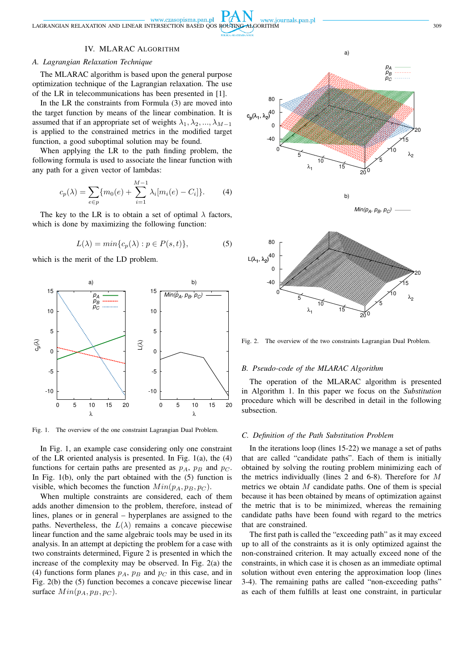www.czasopisma.pan.pl www.journals.pan.pl LAGRANGIAN RELAXATION AND LINEAR INTERSECTION BASED QOS ROUTING ALGORITHM 309

# IV. MLARAC ALGORITHM

#### *A. Lagrangian Relaxation Technique*

The MLARAC algorithm is based upon the general purpose optimization technique of the Lagrangian relaxation. The use of the LR in telecommunications has been presented in [1].

In the LR the constraints from Formula (3) are moved into the target function by means of the linear combination. It is assumed that if an appropriate set of weights  $\lambda_1, \lambda_2, ..., \lambda_{M-1}$ is applied to the constrained metrics in the modified target function, a good suboptimal solution may be found.

When applying the LR to the path finding problem, the following formula is used to associate the linear function with any path for a given vector of lambdas:

$$
c_p(\lambda) = \sum_{e \in p} \{m_0(e) + \sum_{i=1}^{M-1} \lambda_i [m_i(e) - C_i] \}.
$$
 (4)

The key to the LR is to obtain a set of optimal  $\lambda$  factors, which is done by maximizing the following function:

$$
L(\lambda) = \min\{c_p(\lambda) : p \in P(s, t)\},\tag{5}
$$

which is the merit of the LD problem.



Fig. 1. The overview of the one constraint Lagrangian Dual Problem.

In Fig. 1, an example case considering only one constraint of the LR oriented analysis is presented. In Fig. 1(a), the (4) functions for certain paths are presented as  $p_A$ ,  $p_B$  and  $p_C$ . In Fig.  $1(b)$ , only the part obtained with the  $(5)$  function is visible, which becomes the function  $Min(p_A, p_B, p_C)$ .

When multiple constraints are considered, each of them adds another dimension to the problem, therefore, instead of lines, planes or in general – hyperplanes are assigned to the paths. Nevertheless, the  $L(\lambda)$  remains a concave piecewise linear function and the same algebraic tools may be used in its analysis. In an attempt at depicting the problem for a case with two constraints determined, Figure 2 is presented in which the increase of the complexity may be observed. In Fig. 2(a) the (4) functions form planes  $p_A$ ,  $p_B$  and  $p_C$  in this case, and in Fig. 2(b) the (5) function becomes a concave piecewise linear surface  $Min(p_A, p_B, p_C)$ .





Fig. 2. The overview of the two constraints Lagrangian Dual Problem.

# *B. Pseudo-code of the MLARAC Algorithm*

The operation of the MLARAC algorithm is presented in Algorithm 1. In this paper we focus on the *Substitution* procedure which will be described in detail in the following subsection.

# *C. Definition of the Path Substitution Problem*

In the iterations loop (lines 15-22) we manage a set of paths that are called "candidate paths". Each of them is initially obtained by solving the routing problem minimizing each of the metrics individually (lines 2 and 6-8). Therefore for M metrics we obtain  $M$  candidate paths. One of them is special because it has been obtained by means of optimization against the metric that is to be minimized, whereas the remaining candidate paths have been found with regard to the metrics that are constrained.

The first path is called the "exceeding path" as it may exceed up to all of the constraints as it is only optimized against the non-constrained criterion. It may actually exceed none of the constraints, in which case it is chosen as an immediate optimal solution without even entering the approximation loop (lines 3-4). The remaining paths are called "non-exceeding paths" as each of them fulfills at least one constraint, in particular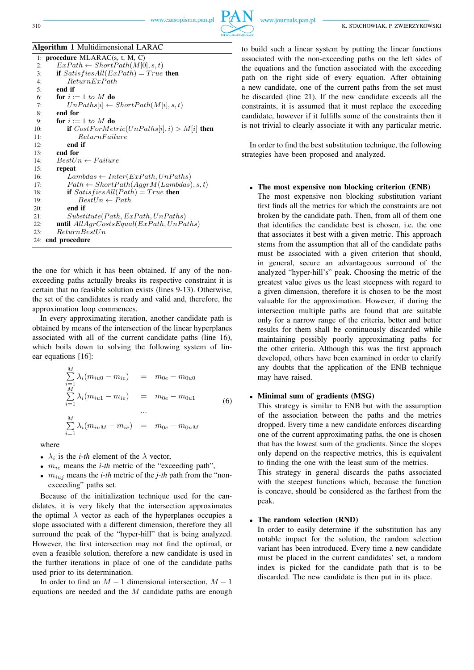

## Algorithm 1 Multidimensional LARAC

| **** | nn 1 mananmensional El n                          |
|------|---------------------------------------------------|
|      | 1: <b>procedure</b> MLARAC $(s, t, M, C)$         |
| 2:   | $ExPath \leftarrow ShortPath(M[0], s, t)$         |
| 3:   | if $Satisfies All (ExPath) = True$ then           |
| 4:   | ReturnExPath                                      |
| 5:   | end if                                            |
| 6:   | for $i := 1$ to M do                              |
| 7:   | $UnPaths[i] \leftarrow ShortPath(M[i], s, t)$     |
| 8:   | end for                                           |
| 9:   | for $i := 1$ to M do                              |
| 10:  | if $CostForMetric(UnPaths[i], i) > M[i]$ then     |
| 11:  | ReturnFailure                                     |
| 12:  | end if                                            |
| 13:  | end for                                           |
| 14:  | $BestUn \leftarrow Failure$                       |
| 15:  | repeat                                            |
| 16:  | $Lambdas \leftarrow Inter(ExPath, UnPaths)$       |
| 17:  | $Path \leftarrow ShortPath(AggrM(Lambdas), s, t)$ |
| 18:  | if $Satisfies All(Path) = True$ then              |
| 19:  | $BestUn \leftarrow Path$                          |
| 20:  | end if                                            |
| 21:  | Substitute (Path, ExPath, UnPaths)                |
| 22:  | until $AllAgrCosts Equal(ExPath, UnPaths)$        |
| 23:  | ReturnBestUn                                      |
|      | 24: end procedure                                 |
|      |                                                   |

the one for which it has been obtained. If any of the nonexceeding paths actually breaks its respective constraint it is certain that no feasible solution exists (lines 9-13). Otherwise, the set of the candidates is ready and valid and, therefore, the approximation loop commences.

In every approximating iteration, another candidate path is obtained by means of the intersection of the linear hyperplanes associated with all of the current candidate paths (line 16), which boils down to solving the following system of linear equations [16]:

$$
\sum_{i=1}^{M} \lambda_i (m_{iu0} - m_{ie}) = m_{0e} - m_{0u0}
$$
\n
$$
\sum_{i=1}^{M} \lambda_i (m_{iu1} - m_{ie}) = m_{0e} - m_{0u1}
$$
\n...\n
$$
\sum_{i=1}^{M} \lambda_i (m_{iuM} - m_{ie}) = m_{0e} - m_{0uM}
$$
\n(6)

where

- $\lambda_i$  is the *i-th* element of the  $\lambda$  vector,
- $m_{ie}$  means the *i-th* metric of the "exceeding path",
- $m_{iuj}$  means the *i-th* metric of the *j-th* path from the "nonexceeding" paths set.

Because of the initialization technique used for the candidates, it is very likely that the intersection approximates the optimal  $\lambda$  vector as each of the hyperplanes occupies a slope associated with a different dimension, therefore they all surround the peak of the "hyper-hill" that is being analyzed. However, the first intersection may not find the optimal, or even a feasible solution, therefore a new candidate is used in the further iterations in place of one of the candidate paths used prior to its determination.

In order to find an  $M-1$  dimensional intersection,  $M-1$ equations are needed and the M candidate paths are enough

to build such a linear system by putting the linear functions associated with the non-exceeding paths on the left sides of the equations and the function associated with the exceeding path on the right side of every equation. After obtaining a new candidate, one of the current paths from the set must be discarded (line 21). If the new candidate exceeds all the constraints, it is assumed that it must replace the exceeding candidate, however if it fulfills some of the constraints then it is not trivial to clearly associate it with any particular metric.

In order to find the best substitution technique, the following strategies have been proposed and analyzed.

# • The most expensive non blocking criterion (ENB)

The most expensive non blocking substitution variant first finds all the metrics for which the constraints are not broken by the candidate path. Then, from all of them one that identifies the candidate best is chosen, i.e. the one that associates it best with a given metric. This approach stems from the assumption that all of the candidate paths must be associated with a given criterion that should, in general, secure an advantageous surround of the analyzed "hyper-hill's" peak. Choosing the metric of the greatest value gives us the least steepness with regard to a given dimension, therefore it is chosen to be the most valuable for the approximation. However, if during the intersection multiple paths are found that are suitable only for a narrow range of the criteria, better and better results for them shall be continuously discarded while maintaining possibly poorly approximating paths for the other criteria. Although this was the first approach developed, others have been examined in order to clarify any doubts that the application of the ENB technique may have raised.

# • Minimal sum of gradients (MSG)

This strategy is similar to ENB but with the assumption of the association between the paths and the metrics dropped. Every time a new candidate enforces discarding one of the current approximating paths, the one is chosen that has the lowest sum of the gradients. Since the slopes only depend on the respective metrics, this is equivalent to finding the one with the least sum of the metrics.

This strategy in general discards the paths associated with the steepest functions which, because the function is concave, should be considered as the farthest from the peak.

# • The random selection (RND)

In order to easily determine if the substitution has any notable impact for the solution, the random selection variant has been introduced. Every time a new candidate must be placed in the current candidates' set, a random index is picked for the candidate path that is to be discarded. The new candidate is then put in its place.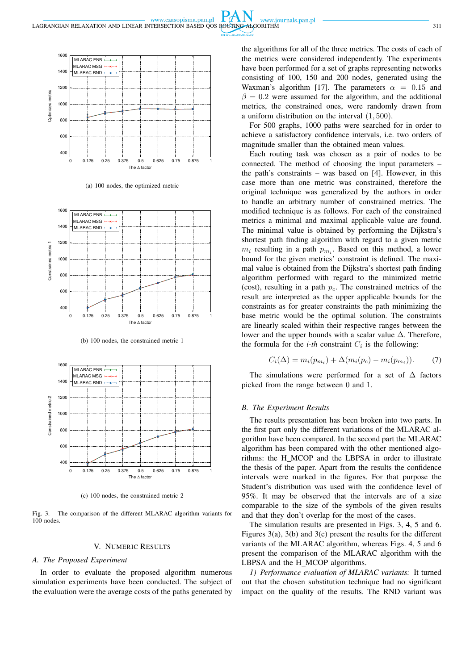$\mathrm{P}\!A$ 

www.journals.pan.pl



(a) 100 nodes, the optimized metric



(b) 100 nodes, the constrained metric 1



(c) 100 nodes, the constrained metric 2

Fig. 3. The comparison of the different MLARAC algorithm variants for 100 nodes.

#### V. NUMERIC RESULTS

## *A. The Proposed Experiment*

In order to evaluate the proposed algorithm numerous simulation experiments have been conducted. The subject of the evaluation were the average costs of the paths generated by

the algorithms for all of the three metrics. The costs of each of the metrics were considered independently. The experiments have been performed for a set of graphs representing networks consisting of 100, 150 and 200 nodes, generated using the Waxman's algorithm [17]. The parameters  $\alpha = 0.15$  and  $\beta = 0.2$  were assumed for the algorithm, and the additional metrics, the constrained ones, were randomly drawn from a uniform distribution on the interval (1, 500).

For 500 graphs, 1000 paths were searched for in order to achieve a satisfactory confidence intervals, i.e. two orders of magnitude smaller than the obtained mean values.

Each routing task was chosen as a pair of nodes to be connected. The method of choosing the input parameters – the path's constraints – was based on [4]. However, in this case more than one metric was constrained, therefore the original technique was generalized by the authors in order to handle an arbitrary number of constrained metrics. The modified technique is as follows. For each of the constrained metrics a minimal and maximal applicable value are found. The minimal value is obtained by performing the Dijkstra's shortest path finding algorithm with regard to a given metric  $m_i$  resulting in a path  $p_{m_i}$ . Based on this method, a lower bound for the given metrics' constraint is defined. The maximal value is obtained from the Dijkstra's shortest path finding algorithm performed with regard to the minimized metric (cost), resulting in a path  $p_c$ . The constrained metrics of the result are interpreted as the upper applicable bounds for the constraints as for greater constraints the path minimizing the base metric would be the optimal solution. The constraints are linearly scaled within their respective ranges between the lower and the upper bounds with a scalar value ∆. Therefore, the formula for the *i-th* constraint  $C_i$  is the following:

$$
C_i(\Delta) = m_i(p_{m_i}) + \Delta(m_i(p_c) - m_i(p_{m_i})).
$$
 (7)

The simulations were performed for a set of  $\Delta$  factors picked from the range between 0 and 1.

#### *B. The Experiment Results*

The results presentation has been broken into two parts. In the first part only the different variations of the MLARAC algorithm have been compared. In the second part the MLARAC algorithm has been compared with the other mentioned algorithms: the H MCOP and the LBPSA in order to illustrate the thesis of the paper. Apart from the results the confidence intervals were marked in the figures. For that purpose the Student's distribution was used with the confidence level of 95%. It may be observed that the intervals are of a size comparable to the size of the symbols of the given results and that they don't overlap for the most of the cases.

The simulation results are presented in Figs. 3, 4, 5 and 6. Figures 3(a), 3(b) and 3(c) present the results for the different variants of the MLARAC algorithm, whereas Figs. 4, 5 and 6 present the comparison of the MLARAC algorithm with the LBPSA and the H\_MCOP algorithms.

*1) Performance evaluation of MLARAC variants:* It turned out that the chosen substitution technique had no significant impact on the quality of the results. The RND variant was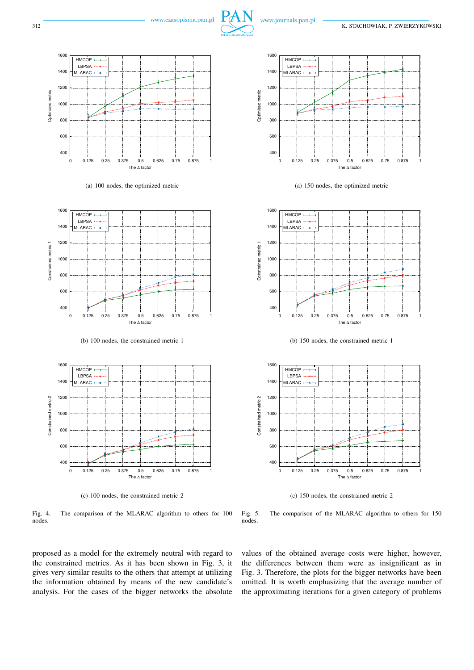



(b) 100 nodes, the constrained metric 1



(c) 100 nodes, the constrained metric 2

Fig. 4. The comparison of the MLARAC algorithm to others for 100 nodes.



(a) 150 nodes, the optimized metric



(b) 150 nodes, the constrained metric 1



(c) 150 nodes, the constrained metric 2

Fig. 5. The comparison of the MLARAC algorithm to others for 150 nodes.

proposed as a model for the extremely neutral with regard to the constrained metrics. As it has been shown in Fig. 3, it gives very similar results to the others that attempt at utilizing the information obtained by means of the new candidate's analysis. For the cases of the bigger networks the absolute values of the obtained average costs were higher, however, the differences between them were as insignificant as in Fig. 3. Therefore, the plots for the bigger networks have been omitted. It is worth emphasizing that the average number of the approximating iterations for a given category of problems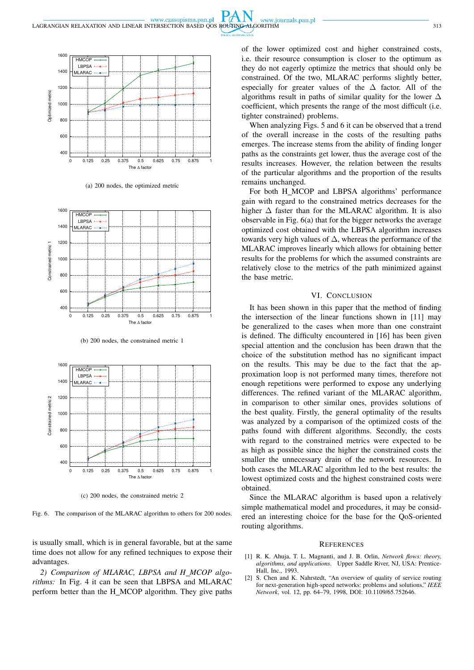

(a) 200 nodes, the optimized metric



(b) 200 nodes, the constrained metric 1



(c) 200 nodes, the constrained metric 2

Fig. 6. The comparison of the MLARAC algorithm to others for 200 nodes.

is usually small, which is in general favorable, but at the same time does not allow for any refined techniques to expose their advantages.

*2) Comparison of MLARAC, LBPSA and H MCOP algorithms:* In Fig. 4 it can be seen that LBPSA and MLARAC perform better than the H MCOP algorithm. They give paths

of the lower optimized cost and higher constrained costs, i.e. their resource consumption is closer to the optimum as they do not eagerly optimize the metrics that should only be constrained. Of the two, MLARAC performs slightly better, especially for greater values of the  $\Delta$  factor. All of the algorithms result in paths of similar quality for the lower  $\Delta$ coefficient, which presents the range of the most difficult (i.e. tighter constrained) problems.

www.journals.pan.pl

When analyzing Figs. 5 and 6 it can be observed that a trend of the overall increase in the costs of the resulting paths emerges. The increase stems from the ability of finding longer paths as the constraints get lower, thus the average cost of the results increases. However, the relation between the results of the particular algorithms and the proportion of the results remains unchanged.

For both H MCOP and LBPSA algorithms' performance gain with regard to the constrained metrics decreases for the higher  $\Delta$  faster than for the MLARAC algorithm. It is also observable in Fig. 6(a) that for the bigger networks the average optimized cost obtained with the LBPSA algorithm increases towards very high values of ∆, whereas the performance of the MLARAC improves linearly which allows for obtaining better results for the problems for which the assumed constraints are relatively close to the metrics of the path minimized against the base metric.

# VI. CONCLUSION

It has been shown in this paper that the method of finding the intersection of the linear functions shown in [11] may be generalized to the cases when more than one constraint is defined. The difficulty encountered in [16] has been given special attention and the conclusion has been drawn that the choice of the substitution method has no significant impact on the results. This may be due to the fact that the approximation loop is not performed many times, therefore not enough repetitions were performed to expose any underlying differences. The refined variant of the MLARAC algorithm, in comparison to other similar ones, provides solutions of the best quality. Firstly, the general optimality of the results was analyzed by a comparison of the optimized costs of the paths found with different algorithms. Secondly, the costs with regard to the constrained metrics were expected to be as high as possible since the higher the constrained costs the smaller the unnecessary drain of the network resources. In both cases the MLARAC algorithm led to the best results: the lowest optimized costs and the highest constrained costs were obtained.

Since the MLARAC algorithm is based upon a relatively simple mathematical model and procedures, it may be considered an interesting choice for the base for the QoS-oriented routing algorithms.

#### **REFERENCES**

- [1] R. K. Ahuja, T. L. Magnanti, and J. B. Orlin, *Network flows: theory, algorithms, and applications*. Upper Saddle River, NJ, USA: Prentice-Hall, Inc., 1993.
- [2] S. Chen and K. Nahrstedt, "An overview of quality of service routing for next-generation high-speed networks: problems and solutions," *IEEE Network*, vol. 12, pp. 64–79, 1998, DOI: 10.1109/65.752646.